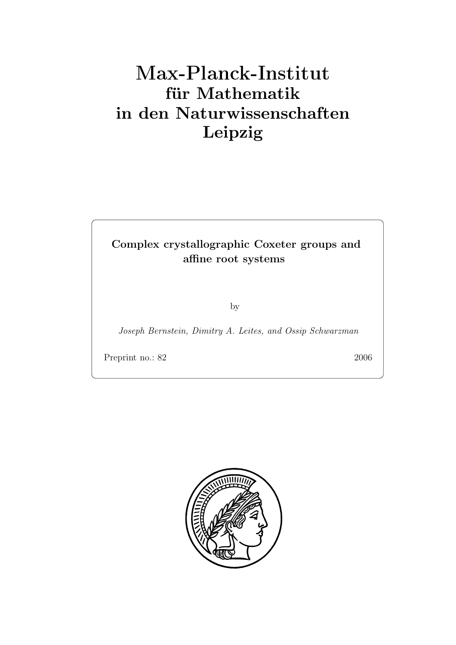# **für Mathematik in den Naturwissenschaften Leipzig**

## **Complex crystallographic Coxeter groups and affine root systems**

by

*Joseph Bernstein, Dimitry A. Leites, and Ossip Schwarzman*

Preprint no.: 82 2006

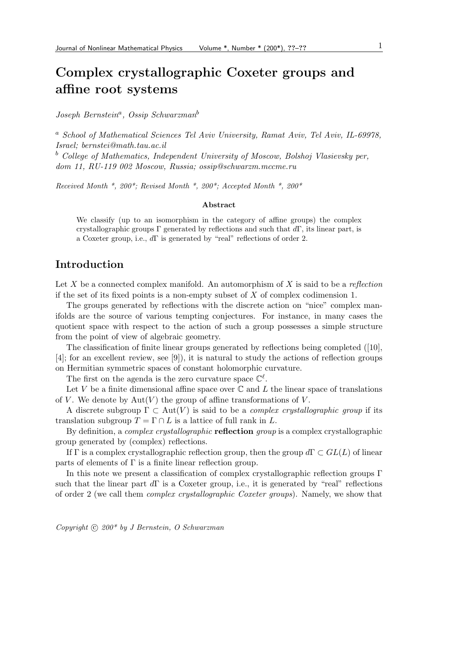*Joseph Bernstein*a*, Ossip Schwarzman*<sup>b</sup>

<sup>a</sup> *School of Mathematical Sciences Tel Aviv University, Ramat Aviv, Tel Aviv, IL-69978, Israel; bernstei@math.tau.ac.il*

<sup>b</sup> *College of Mathematics, Independent University of Moscow, Bolshoj Vlasievsky per, dom 11, RU-119 002 Moscow, Russia; ossip@schwarzm.mccme.ru*

*Received Month \*, 200\*; Revised Month \*, 200\*; Accepted Month \*, 200\**

#### **Abstract**

We classify (up to an isomorphism in the category of affine groups) the complex crystallographic groups Γ generated by reflections and such that  $d\Gamma$ , its linear part, is a Coxeter group, i.e., dΓ is generated by "real" reflections of order 2.

## **Introduction**

Let X be a connected complex manifold. An automorphism of X is said to be a *reflection* if the set of its fixed points is a non-empty subset of  $X$  of complex codimension 1.

The groups generated by reflections with the discrete action on "nice" complex manifolds are the source of various tempting conjectures. For instance, in many cases the quotient space with respect to the action of such a group possesses a simple structure from the point of view of algebraic geometry.

The classification of finite linear groups generated by reflections being completed ([10], [4]; for an excellent review, see [9]), it is natural to study the actions of reflection groups on Hermitian symmetric spaces of constant holomorphic curvature.

The first on the agenda is the zero curvature space  $\mathbb{C}^{\ell}$ .

Let V be a finite dimensional affine space over  $\mathbb C$  and L the linear space of translations of V. We denote by  $Aut(V)$  the group of affine transformations of V.

A discrete subgroup  $\Gamma \subset Aut(V)$  is said to be a *complex crystallographic group* if its translation subgroup  $T = \Gamma \cap L$  is a lattice of full rank in L.

By definition, a *complex crystallographic* **reflection** *group* is a complex crystallographic group generated by (complex) reflections.

If Γ is a complex crystallographic reflection group, then the group  $d\Gamma \subset GL(L)$  of linear parts of elements of  $\Gamma$  is a finite linear reflection group.

In this note we present a classification of complex crystallographic reflection groups  $\Gamma$ such that the linear part  $d\Gamma$  is a Coxeter group, i.e., it is generated by "real" reflections of order 2 (we call them *complex crystallographic Coxeter groups*). Namely, we show that

*Copyright* (c)  $200*$  by *J Bernstein, O Schwarzman*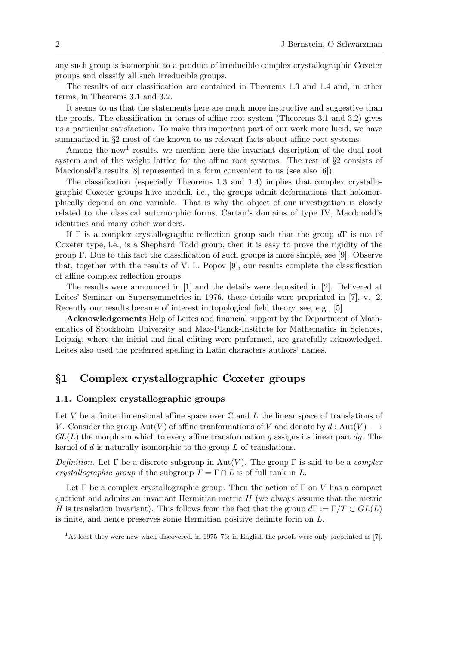any such group is isomorphic to a product of irreducible complex crystallographic Coxeter groups and classify all such irreducible groups.

The results of our classification are contained in Theorems 1.3 and 1.4 and, in other terms, in Theorems 3.1 and 3.2.

It seems to us that the statements here are much more instructive and suggestive than the proofs. The classification in terms of affine root system (Theorems 3.1 and 3.2) gives us a particular satisfaction. To make this important part of our work more lucid, we have summarized in §2 most of the known to us relevant facts about affine root systems.

Among the new<sup>1</sup> results, we mention here the invariant description of the dual root system and of the weight lattice for the affine root systems. The rest of §2 consists of Macdonald's results [8] represented in a form convenient to us (see also [6]).

The classification (especially Theorems 1.3 and 1.4) implies that complex crystallographic Coxeter groups have moduli, i.e., the groups admit deformations that holomorphically depend on one variable. That is why the object of our investigation is closely related to the classical automorphic forms, Cartan's domains of type IV, Macdonald's identities and many other wonders.

If Γ is a complex crystallographic reflection group such that the group  $d\Gamma$  is not of Coxeter type, i.e., is a Shephard–Todd group, then it is easy to prove the rigidity of the group Γ. Due to this fact the classification of such groups is more simple, see [9]. Observe that, together with the results of V. L. Popov [9], our results complete the classification of affine complex reflection groups.

The results were announced in [1] and the details were deposited in [2]. Delivered at Leites' Seminar on Supersymmetries in 1976, these details were preprinted in [7], v. 2. Recently our results became of interest in topological field theory, see, e.g., [5].

**Acknowledgements** Help of Leites and financial support by the Department of Mathematics of Stockholm University and Max-Planck-Institute for Mathematics in Sciences, Leipzig, where the initial and final editing were performed, are gratefully acknowledged. Leites also used the preferred spelling in Latin characters authors' names.

## *§***1 Complex crystallographic Coxeter groups**

#### **1.1. Complex crystallographic groups**

Let V be a finite dimensional affine space over  $\mathbb C$  and L the linear space of translations of V. Consider the group  $Aut(V)$  of affine tranformations of V and denote by  $d: Aut(V) \longrightarrow$  $GL(L)$  the morphism which to every affine transformation g assigns its linear part dg. The kernel of  $d$  is naturally isomorphic to the group  $L$  of translations.

*Definition.* Let  $\Gamma$  be a discrete subgroup in Aut(V). The group  $\Gamma$  is said to be a *complex crystallographic group* if the subgroup  $T = \Gamma \cap L$  is of full rank in L.

Let  $\Gamma$  be a complex crystallographic group. Then the action of  $\Gamma$  on V has a compact quotient and admits an invariant Hermitian metric  $H$  (we always assume that the metric H is translation invariant). This follows from the fact that the group  $d\Gamma := \Gamma/T \subset GL(L)$ is finite, and hence preserves some Hermitian positive definite form on L.

<sup>1</sup>At least they were new when discovered, in 1975–76; in English the proofs were only preprinted as [7].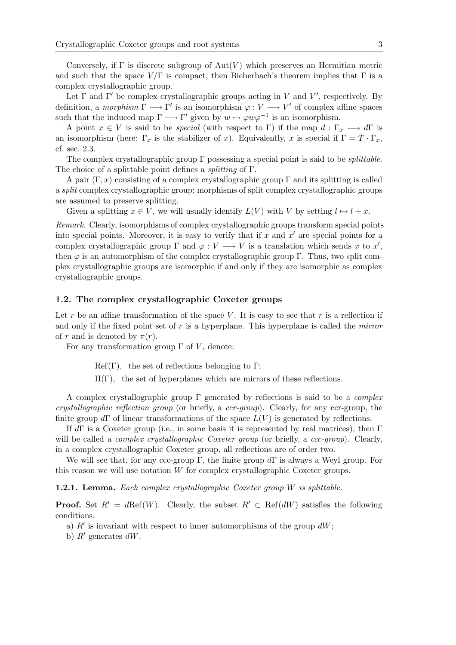Conversely, if  $\Gamma$  is discrete subgroup of  $Aut(V)$  which preserves an Hermitian metric and such that the space  $V/\Gamma$  is compact, then Bieberbach's theorem implies that  $\Gamma$  is a complex crystallographic group.

Let  $\Gamma$  and  $\Gamma'$  be complex crystallographic groups acting in V and V', respectively. By definition, a *morphism*  $\Gamma \longrightarrow \Gamma'$  is an isomorphism  $\varphi : V \longrightarrow V'$  of complex affine spaces such that the induced map  $\Gamma \longrightarrow \Gamma'$  given by  $w \mapsto \varphi w \varphi^{-1}$  is an isomorphism.

A point  $x \in V$  is said to be *special* (with respect to Γ) if the map  $d : \Gamma_x \longrightarrow d\Gamma$  is an isomorphism (here:  $\Gamma_x$  is the stabilizer of x). Equivalently, x is special if  $\Gamma = T \cdot \Gamma_x$ , cf. sec. 2.3.

The complex crystallographic group Γ possessing a special point is said to be *splittable*. The choice of a splittable point defines a *splitting* of Γ.

A pair  $(\Gamma, x)$  consisting of a complex crystallographic group  $\Gamma$  and its splitting is called a *split* complex crystallographic group; morphisms of split complex crystallographic groups are assumed to preserve splitting.

Given a splitting  $x \in V$ , we will usually identify  $L(V)$  with V by setting  $l \mapsto l + x$ .

*Remark.* Clearly, isomorphisms of complex crystallographic groups transform special points into special points. Moreover, it is easy to verify that if x and  $x'$  are special points for a complex crystallographic group  $\Gamma$  and  $\varphi: V \longrightarrow V$  is a translation which sends x to x', then  $\varphi$  is an automorphism of the complex crystallographic group Γ. Thus, two split complex crystallographic groups are isomorphic if and only if they are isomorphic as complex crystallographic groups.

#### **1.2. The complex crystallographic Coxeter groups**

Let r be an affine transformation of the space V. It is easy to see that r is a reflection if and only if the fixed point set of r is a hyperplane. This hyperplane is called the *mirror* of r and is denoted by  $\pi(r)$ .

For any transformation group  $\Gamma$  of V, denote:

 $Ref(\Gamma)$ , the set of reflections belonging to Γ;

 $\Pi(\Gamma)$ , the set of hyperplanes which are mirrors of these reflections.

A complex crystallographic group Γ generated by reflections is said to be a *complex crystallographic reflection group* (or briefly, a *ccr-group*). Clearly, for any ccr-group, the finite group  $d\Gamma$  of linear transformations of the space  $L(V)$  is generated by reflections.

If  $d\Gamma$  is a Coxeter group (i.e., in some basis it is represented by real matrices), then  $\Gamma$ will be called a *complex crystallographic Coxeter group* (or briefly, a *ccc-group*). Clearly, in a complex crystallographic Coxeter group, all reflections are of order two.

We will see that, for any ccc-group  $\Gamma$ , the finite group  $d\Gamma$  is always a Weyl group. For this reason we will use notation W for complex crystallographic Coxeter groups.

**1.2.1. Lemma.** *Each complex crystallographic Coxeter group* W *is splittable.*

**Proof.** Set  $R' = d\text{Ref}(W)$ . Clearly, the subset  $R' \subset \text{Ref}(dW)$  satisfies the following conditions:

- a)  $R'$  is invariant with respect to inner automorphisms of the group  $dW$ ;
- b)  $R'$  generates  $dW$ .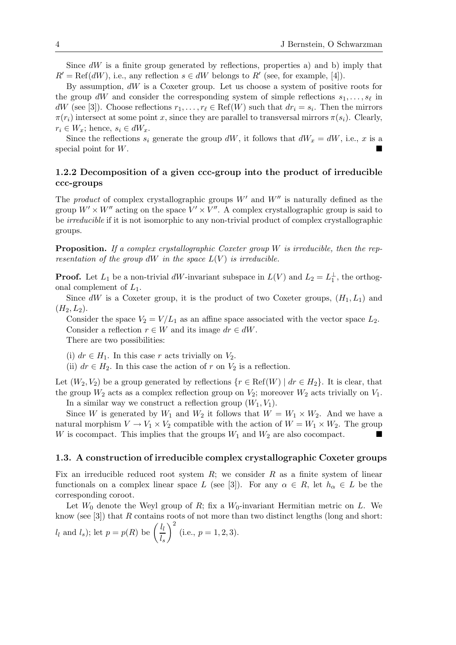Since  $dW$  is a finite group generated by reflections, properties a) and b) imply that  $R' = \text{Ref}(dW)$ , i.e., any reflection  $s \in dW$  belongs to  $R'$  (see, for example, [4]).

By assumption,  $dW$  is a Coxeter group. Let us choose a system of positive roots for the group dW and consider the corresponding system of simple reflections  $s_1, \ldots, s_\ell$  in dW (see [3]). Choose reflections  $r_1, \ldots, r_\ell \in \text{Ref}(W)$  such that  $dr_i = s_i$ . Then the mirrors  $\pi(r_i)$  intersect at some point x, since they are parallel to transversal mirrors  $\pi(s_i)$ . Clearly,  $r_i \in W_x$ ; hence,  $s_i \in dW_x$ .

Since the reflections  $s_i$  generate the group dW, it follows that  $dW_x = dW$ , i.e., x is a special point for W.

## **1.2.2 Decomposition of a given ccc-group into the product of irreducible ccc-groups**

The *product* of complex crystallographic groups  $W'$  and  $W''$  is naturally defined as the group  $W' \times W''$  acting on the space  $V' \times V''$ . A complex crystallographic group is said to be *irreducible* if it is not isomorphic to any non-trivial product of complex crystallographic groups.

**Proposition.** *If a complex crystallographic Coxeter group* W *is irreducible, then the representation of the group*  $dW$  *in the space*  $L(V)$  *is irreducible.* 

**Proof.** Let  $L_1$  be a non-trivial dW-invariant subspace in  $L(V)$  and  $L_2 = L_1^{\perp}$ , the orthogonal complement of  $L_1$ .

Since dW is a Coxeter group, it is the product of two Coxeter groups,  $(H_1, L_1)$  and  $(H_2, L_2).$ 

Consider the space  $V_2 = V/L_1$  as an affine space associated with the vector space  $L_2$ . Consider a reflection  $r \in W$  and its image  $dr \in dW$ . There are two possibilities:

(i)  $dr \in H_1$ . In this case r acts trivially on  $V_2$ .

(ii)  $dr \in H_2$ . In this case the action of r on  $V_2$  is a reflection.

Let  $(W_2, V_2)$  be a group generated by reflections  $\{r \in \text{Ref}(W) \mid dr \in H_2\}$ . It is clear, that the group  $W_2$  acts as a complex reflection group on  $V_2$ ; moreover  $W_2$  acts trivially on  $V_1$ .

In a similar way we construct a reflection group  $(W_1, V_1)$ .

Since W is generated by  $W_1$  and  $W_2$  it follows that  $W = W_1 \times W_2$ . And we have a natural morphism  $V \to V_1 \times V_2$  compatible with the action of  $W = W_1 \times W_2$ . The group W is cocompact. This implies that the groups  $W_1$  and  $W_2$  are also cocompact.

#### **1.3. A construction of irreducible complex crystallographic Coxeter groups**

Fix an irreducible reduced root system  $R$ ; we consider  $R$  as a finite system of linear functionals on a complex linear space L (see [3]). For any  $\alpha \in R$ , let  $h_{\alpha} \in L$  be the corresponding coroot.

Let  $W_0$  denote the Weyl group of R; fix a  $W_0$ -invariant Hermitian metric on L. We know (see [3]) that R contains roots of not more than two distinct lengths (long and short:

 $l_l$  and  $l_s$ ); let  $p = p(R)$  be  $\left(\frac{l_l}{l_s}\right)$  $\setminus^2$  $(i.e., p = 1, 2, 3).$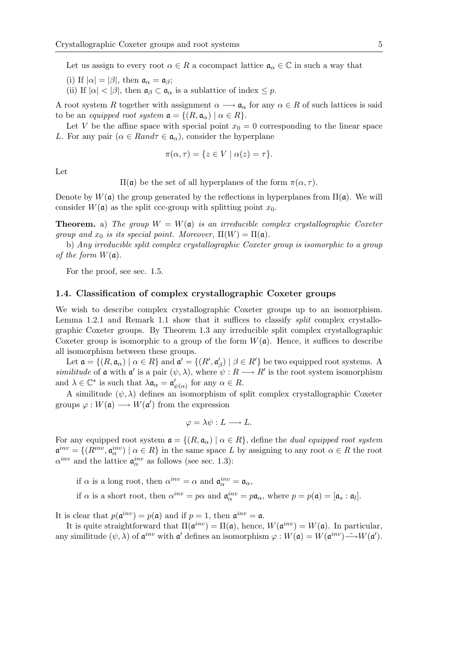Let us assign to every root  $\alpha \in R$  a cocompact lattice  $\mathfrak{a}_{\alpha} \in \mathbb{C}$  in such a way that

(i) If  $|\alpha| = |\beta|$ , then  $\mathfrak{a}_{\alpha} = \mathfrak{a}_{\beta}$ ;

(ii) If  $|\alpha| < |\beta|$ , then  $\mathfrak{a}_{\beta} \subset \mathfrak{a}_{\alpha}$  is a sublattice of index  $\leq p$ .

A root system R together with assignment  $\alpha \longrightarrow \mathfrak{a}_{\alpha}$  for any  $\alpha \in R$  of such lattices is said to be an *equipped root system*  $\mathfrak{a} = \{ (R, \mathfrak{a}_{\alpha}) \mid \alpha \in R \}.$ 

Let V be the affine space with special point  $x_0 = 0$  corresponding to the linear space L. For any pair  $(\alpha \in Rand\tau \in \mathfrak{a}_{\alpha})$ , consider the hyperplane

$$
\pi(\alpha, \tau) = \{ z \in V \mid \alpha(z) = \tau \}.
$$

Let

 $\Pi$ (α) be the set of all hyperplanes of the form  $\pi(\alpha, \tau)$ .

Denote by  $W(\mathfrak{a})$  the group generated by the reflections in hyperplanes from  $\Pi(\mathfrak{a})$ . We will consider  $W(\mathfrak{a})$  as the split ccc-group with splitting point  $x_0$ .

**Theorem.** a) The group  $W = W(a)$  is an irreducible complex crystallographic Coxeter *group and*  $x_0$  *is its special point. Moreover,*  $\Pi(W) = \Pi(\mathfrak{a})$ .

b) *Any irreducible split complex crystallographic Coxeter group is isomorphic to a group of the form*  $W(\mathfrak{a})$ *.* 

For the proof, see sec. 1.5.

#### **1.4. Classification of complex crystallographic Coxeter groups**

We wish to describe complex crystallographic Coxeter groups up to an isomorphism. Lemma 1.2.1 and Remark 1.1 show that it suffices to classify *split* complex crystallographic Coxeter groups. By Theorem 1.3 any irreducible split complex crystallographic Coxeter group is isomorphic to a group of the form  $W(\mathfrak{a})$ . Hence, it suffices to describe all isomorphism between these groups.

Let  $\mathfrak{a} = \{(R, \mathfrak{a}_{\alpha}) \mid \alpha \in R\}$  and  $\mathfrak{a}' = \{(R', \mathfrak{a}'_{\beta}) \mid \beta \in R'\}$  be two equipped root systems. A *similitude* of **a** with  $a'$  is a pair  $(\psi, \lambda)$ , where  $\psi : R \longrightarrow R'$  is the root system isomorphism and  $\lambda \in \mathbb{C}^*$  is such that  $\lambda \mathfrak{a}_{\alpha} = \mathfrak{a}'_{\psi(\alpha)}$  for any  $\alpha \in R$ .

A similitude  $(\psi, \lambda)$  defines an isomorphism of split complex crystallographic Coxeter groups  $\varphi: W(\mathfrak{a}) \longrightarrow W(\mathfrak{a}')$  from the expression

$$
\varphi = \lambda \psi : L \longrightarrow L.
$$

For any equipped root system  $\mathfrak{a} = \{(R, \mathfrak{a}_{\alpha}) \mid \alpha \in R\}$ , define the *dual equipped root system*  $\mathfrak{a}^{inv} = \{(R^{inv}, \mathfrak{a}_{\alpha}^{inv}) \mid \alpha \in R\}$  in the same space L by assigning to any root  $\alpha \in R$  the root  $\alpha^{inv}$  and the lattice  $\mathfrak{a}_{\alpha}^{inv}$  as follows (see sec. 1.3):

if  $\alpha$  is a long root, then  $\alpha^{inv} = \alpha$  and  $\mathfrak{a}_{\alpha}^{inv} = \mathfrak{a}_{\alpha}$ ,

if  $\alpha$  is a short root, then  $\alpha^{inv} = p\alpha$  and  $\mathfrak{a}_{\alpha}^{inv} = p\mathfrak{a}_{\alpha}$ , where  $p = p(\mathfrak{a}) = [\mathfrak{a}_s : \mathfrak{a}_l].$ 

It is clear that  $p(\mathfrak{a}^{inv}) = p(\mathfrak{a})$  and if  $p = 1$ , then  $\mathfrak{a}^{inv} = \mathfrak{a}$ .

It is quite straightforward that  $\Pi(\mathfrak{a}^{inv}) = \Pi(\mathfrak{a})$ , hence,  $W(\mathfrak{a}^{inv}) = W(\mathfrak{a})$ . In particular, any similitude  $(\psi, \lambda)$  of  $\mathfrak{a}^{inv}$  with  $\mathfrak{a}'$  defines an isomorphism  $\varphi : W(\mathfrak{a}) = W(\mathfrak{a}^{inv}) \longrightarrow W(\mathfrak{a}')$ .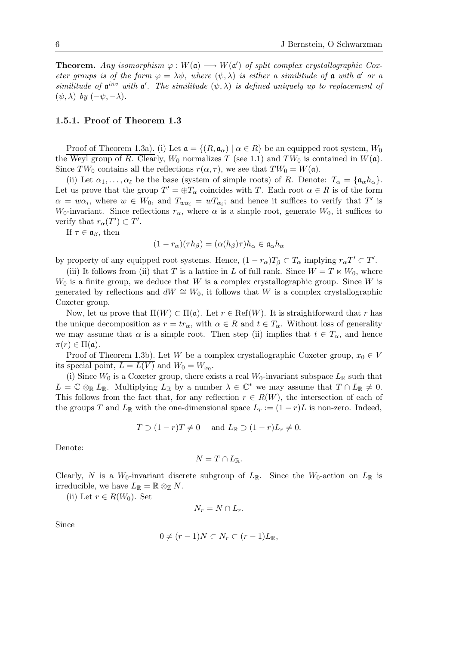**Theorem.** *Any isomorphism*  $\varphi : W(\mathfrak{a}) \longrightarrow W(\mathfrak{a}')$  *of split complex crystallographic Coxeter groups is of the form*  $\varphi = \lambda \psi$ *, where*  $(\psi, \lambda)$  *is either a similitude of*  $\alpha$  *with*  $\alpha'$  *or a similitude* of  $\mathfrak{a}^{inv}$  *with*  $\mathfrak{a}'$ . The similitude  $(\psi, \lambda)$  is defined uniquely up to replacement of  $(\psi, \lambda)$  *by*  $(-\psi, -\lambda)$ *.* 

#### **1.5.1. Proof of Theorem 1.3**

Proof of Theorem 1.3a). (i) Let  $\mathfrak{a} = \{(R, \mathfrak{a}_{\alpha}) \mid \alpha \in R\}$  be an equipped root system,  $W_0$ the Weyl group of R. Clearly,  $W_0$  normalizes T (see 1.1) and  $TW_0$  is contained in  $W(\mathfrak{a})$ . Since  $TW_0$  contains all the reflections  $r(\alpha, \tau)$ , we see that  $TW_0 = W(\mathfrak{a})$ .

(ii) Let  $\alpha_1,\ldots,\alpha_\ell$  be the base (system of simple roots) of R. Denote:  $T_\alpha = {\mathfrak{a}}_\alpha h_\alpha$ . Let us prove that the group  $T' = \bigoplus T_{\alpha}$  coincides with T. Each root  $\alpha \in R$  is of the form  $\alpha = w\alpha_i$ , where  $w \in W_0$ , and  $T_{w\alpha_i} = wT_{\alpha_i}$ ; and hence it suffices to verify that T' is W<sub>0</sub>-invariant. Since reflections  $r_{\alpha}$ , where  $\alpha$  is a simple root, generate W<sub>0</sub>, it suffices to verify that  $r_{\alpha}(T') \subset T'$ .

If  $\tau \in \mathfrak{a}_{\beta}$ , then

$$
(1 - r_{\alpha})(\tau h_{\beta}) = (\alpha(h_{\beta})\tau)h_{\alpha} \in \mathfrak{a}_{\alpha}h_{\alpha}
$$

by property of any equipped root systems. Hence,  $(1 - r_{\alpha})T_{\beta} \subset T_{\alpha}$  implying  $r_{\alpha}T' \subset T'$ .

(iii) It follows from (ii) that T is a lattice in L of full rank. Since  $W = T \ltimes W_0$ , where  $W_0$  is a finite group, we deduce that W is a complex crystallographic group. Since W is generated by reflections and  $dW \cong W_0$ , it follows that W is a complex crystallographic Coxeter group.

Now, let us prove that  $\Pi(W) \subset \Pi(\mathfrak{a})$ . Let  $r \in \text{Ref}(W)$ . It is straightforward that r has the unique decomposition as  $r = tr_{\alpha}$ , with  $\alpha \in R$  and  $t \in T_{\alpha}$ . Without loss of generality we may assume that  $\alpha$  is a simple root. Then step (ii) implies that  $t \in T_{\alpha}$ , and hence  $\pi(r) \in \Pi(\mathfrak{a}).$ 

Proof of Theorem 1.3b). Let W be a complex crystallographic Coxeter group,  $x_0 \in V$ its special point,  $L = L(V)$  and  $W_0 = W_{x_0}$ .

(i) Since  $W_0$  is a Coxeter group, there exists a real  $W_0$ -invariant subspace  $L_{\mathbb{R}}$  such that  $L = \mathbb{C} \otimes_{\mathbb{R}} L_{\mathbb{R}}$ . Multiplying  $L_{\mathbb{R}}$  by a number  $\lambda \in \mathbb{C}^*$  we may assume that  $T \cap L_{\mathbb{R}} \neq 0$ . This follows from the fact that, for any reflection  $r \in R(W)$ , the intersection of each of the groups T and  $L_{\mathbb{R}}$  with the one-dimensional space  $L_r := (1 - r)L$  is non-zero. Indeed,

$$
T \supset (1-r)T \neq 0 \quad \text{and } L_{\mathbb{R}} \supset (1-r)L_r \neq 0.
$$

Denote:

$$
N=T\cap L_{\mathbb{R}}.
$$

Clearly, N is a  $W_0$ -invariant discrete subgroup of  $L_{\mathbb{R}}$ . Since the  $W_0$ -action on  $L_{\mathbb{R}}$  is irreducible, we have  $L_{\mathbb{R}} = \mathbb{R} \otimes_{\mathbb{Z}} N$ .

(ii) Let  $r \in R(W_0)$ . Set

$$
N_r = N \cap L_r.
$$

Since

$$
0 \neq (r-1)N \subset N_r \subset (r-1)L_{\mathbb{R}},
$$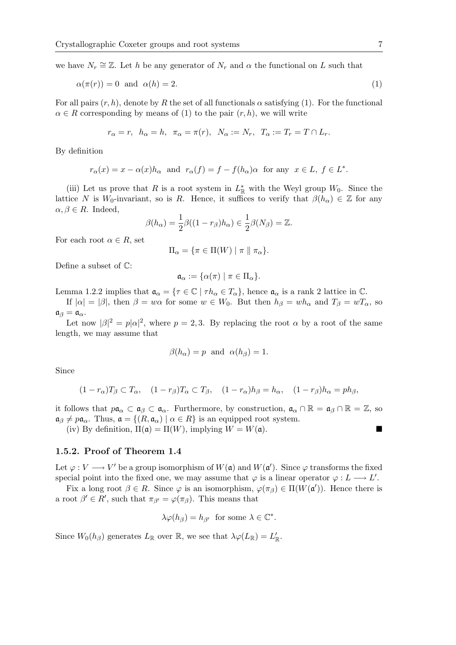we have  $N_r \cong \mathbb{Z}$ . Let h be any generator of  $N_r$  and  $\alpha$  the functional on L such that

$$
\alpha(\pi(r)) = 0 \text{ and } \alpha(h) = 2. \tag{1}
$$

For all pairs  $(r, h)$ , denote by R the set of all functionals  $\alpha$  satisfying (1). For the functional  $\alpha \in R$  corresponding by means of (1) to the pair  $(r, h)$ , we will write

$$
r_{\alpha}=r, h_{\alpha}=h, \pi_{\alpha}=\pi(r), N_{\alpha}:=N_r, T_{\alpha}:=T_r=T\cap L_r.
$$

By definition

$$
r_{\alpha}(x) = x - \alpha(x)h_{\alpha}
$$
 and  $r_{\alpha}(f) = f - f(h_{\alpha})\alpha$  for any  $x \in L$ ,  $f \in L^*$ .

(iii) Let us prove that R is a root system in  $L^*_{\mathbb{R}}$  with the Weyl group  $W_0$ . Since the lattice N is W<sub>0</sub>-invariant, so is R. Hence, it suffices to verify that  $\beta(h_{\alpha}) \in \mathbb{Z}$  for any  $\alpha, \beta \in R$ . Indeed,

$$
\beta(h_{\alpha}) = \frac{1}{2}\beta((1-r_{\beta})h_{\alpha}) \in \frac{1}{2}\beta(N_{\beta}) = \mathbb{Z}.
$$

For each root  $\alpha \in R$ , set

$$
\Pi_\alpha = \{ \pi \in \Pi(W) \mid \pi \parallel \pi_\alpha \}.
$$

Define a subset of C:

$$
\mathfrak{a}_{\alpha}:=\{\alpha(\pi)\mid \pi\in\Pi_{\alpha}\}.
$$

Lemma 1.2.2 implies that  $\mathfrak{a}_{\alpha} = \{ \tau \in \mathbb{C} \mid \tau h_{\alpha} \in T_{\alpha} \}$ , hence  $\mathfrak{a}_{\alpha}$  is a rank 2 lattice in  $\mathbb{C}$ .

If  $|\alpha| = |\beta|$ , then  $\beta = w\alpha$  for some  $w \in W_0$ . But then  $h_\beta = wh_\alpha$  and  $T_\beta = wT_\alpha$ , so  $a_{\beta} = a_{\alpha}.$ 

Let now  $|\beta|^2 = p|\alpha|^2$ , where  $p = 2, 3$ . By replacing the root  $\alpha$  by a root of the same length, we may assume that

$$
\beta(h_{\alpha}) = p \text{ and } \alpha(h_{\beta}) = 1.
$$

Since

$$
(1 - r_{\alpha})T_{\beta} \subset T_{\alpha}, \quad (1 - r_{\beta})T_{\alpha} \subset T_{\beta}, \quad (1 - r_{\alpha})h_{\beta} = h_{\alpha}, \quad (1 - r_{\beta})h_{\alpha} = ph_{\beta},
$$

it follows that  $p\mathfrak{a}_{\alpha} \subset \mathfrak{a}_{\beta} \subset \mathfrak{a}_{\alpha}$ . Furthermore, by construction,  $\mathfrak{a}_{\alpha} \cap \mathbb{R} = \mathfrak{a}_{\beta} \cap \mathbb{R} = \mathbb{Z}$ , so  $\mathfrak{a}_{\beta} \neq p\mathfrak{a}_{\alpha}$ . Thus,  $\mathfrak{a} = \{(R, \mathfrak{a}_{\alpha}) \mid \alpha \in R\}$  is an equipped root system.

(iv) By definition,  $\Pi(\mathfrak{a}) = \Pi(W)$ , implying  $W = W(\mathfrak{a})$ .

#### **1.5.2. Proof of Theorem 1.4**

Let  $\varphi: V \longrightarrow V'$  be a group isomorphism of  $W(\mathfrak{a})$  and  $W(\mathfrak{a}')$ . Since  $\varphi$  transforms the fixed special point into the fixed one, we may assume that  $\varphi$  is a linear operator  $\varphi: L \longrightarrow L'$ .

Fix a long root  $\beta \in R$ . Since  $\varphi$  is an isomorphism,  $\varphi(\pi_{\beta}) \in \Pi(W(\mathfrak{a}'))$ . Hence there is a root  $\beta' \in R'$ , such that  $\pi_{\beta'} = \varphi(\pi_{\beta})$ . This means that

$$
\lambda \varphi(h_{\beta}) = h_{\beta'} \text{ for some } \lambda \in \mathbb{C}^*.
$$

Since  $W_0(h_\beta)$  generates  $L_\mathbb{R}$  over  $\mathbb{R}$ , we see that  $\lambda \varphi(L_\mathbb{R}) = L'_\mathbb{R}$ .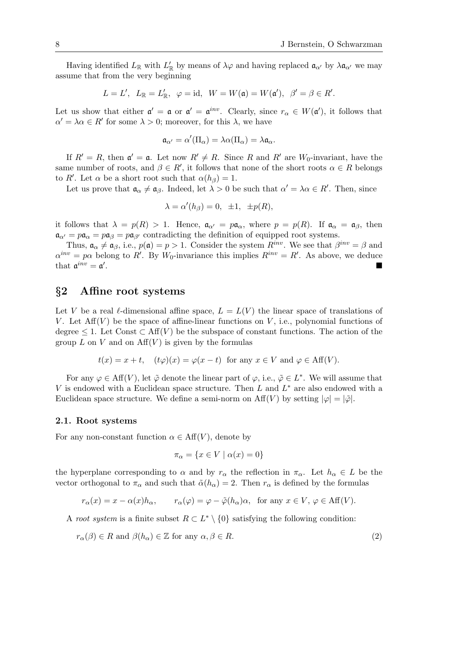Having identified  $L_{\mathbb{R}}$  with  $L'_{\mathbb{R}}$  by means of  $\lambda\varphi$  and having replaced  $\mathfrak{a}_{\alpha'}$  by  $\lambda\mathfrak{a}_{\alpha'}$  we may assume that from the very beginning

$$
L = L', \ \ L_{\mathbb{R}} = L'_{\mathbb{R}}, \ \ \varphi = \mathrm{id}, \ \ W = W(\mathfrak{a}) = W(\mathfrak{a}'), \ \ \beta' = \beta \in R'.
$$

Let us show that either  $\mathfrak{a}' = \mathfrak{a}$  or  $\mathfrak{a}' = \mathfrak{a}^{inv}$ . Clearly, since  $r_{\alpha} \in W(\mathfrak{a}')$ , it follows that  $\alpha' = \lambda \alpha \in R'$  for some  $\lambda > 0$ ; moreover, for this  $\lambda$ , we have

$$
\mathfrak{a}_{\alpha'}=\alpha'(\Pi_\alpha)=\lambda\alpha(\Pi_\alpha)=\lambda\mathfrak{a}_\alpha.
$$

If  $R' = R$ , then  $\mathfrak{a}' = \mathfrak{a}$ . Let now  $R' \neq R$ . Since R and R' are  $W_0$ -invariant, have the same number of roots, and  $\beta \in R'$ , it follows that none of the short roots  $\alpha \in R$  belongs to R'. Let  $\alpha$  be a short root such that  $\alpha(h_{\beta}) = 1$ .

Let us prove that  $\mathfrak{a}_{\alpha} \neq \mathfrak{a}_{\beta}$ . Indeed, let  $\lambda > 0$  be such that  $\alpha' = \lambda \alpha \in R'$ . Then, since

$$
\lambda = \alpha'(h_{\beta}) = 0, \ \pm 1, \ \pm p(R),
$$

it follows that  $\lambda = p(R) > 1$ . Hence,  $\mathfrak{a}_{\alpha'} = p\mathfrak{a}_{\alpha}$ , where  $p = p(R)$ . If  $\mathfrak{a}_{\alpha} = \mathfrak{a}_{\beta}$ , then  $a_{\alpha'} = p a_{\alpha} = p a_{\beta'}$  contradicting the definition of equipped root systems.

Thus,  $\mathfrak{a}_{\alpha} \neq \mathfrak{a}_{\beta}$ , i.e.,  $p(\mathfrak{a}) = p > 1$ . Consider the system  $R^{inv}$ . We see that  $\beta^{inv} = \beta$  and  $\alpha^{inv} = p\alpha$  belong to R'. By W<sub>0</sub>-invariance this implies  $R^{inv} = R'$ . As above, we deduce that  $\mathfrak{a}^{inv} = \mathfrak{a}'$ . . A construction of the construction of the construction of the construction of the construction of the construction

### *§***2 Affine root systems**

Let V be a real  $\ell$ -dimensional affine space,  $L = L(V)$  the linear space of translations of V. Let  $\text{Aff}(V)$  be the space of affine-linear functions on V, i.e., polynomial functions of degree  $\leq 1$ . Let Const  $\subset$  Aff $(V)$  be the subspace of constant functions. The action of the group  $L$  on  $V$  and on  $\text{Aff}(V)$  is given by the formulas

$$
t(x) = x + t
$$
,  $(t\varphi)(x) = \varphi(x - t)$  for any  $x \in V$  and  $\varphi \in \text{Aff}(V)$ .

For any  $\varphi \in \text{Aff}(V)$ , let  $\tilde{\varphi}$  denote the linear part of  $\varphi$ , i.e.,  $\tilde{\varphi} \in L^*$ . We will assume that V is endowed with a Euclidean space structure. Then L and  $L^*$  are also endowed with a Euclidean space structure. We define a semi-norm on  $\text{Aff}(V)$  by setting  $|\varphi| = |\tilde{\varphi}|$ .

#### **2.1. Root systems**

For any non-constant function  $\alpha \in Aff(V)$ , denote by

$$
\pi_{\alpha} = \{ x \in V \mid \alpha(x) = 0 \}
$$

the hyperplane corresponding to  $\alpha$  and by  $r_{\alpha}$  the reflection in  $\pi_{\alpha}$ . Let  $h_{\alpha} \in L$  be the vector orthogonal to  $\pi_{\alpha}$  and such that  $\tilde{\alpha}(h_{\alpha}) = 2$ . Then  $r_{\alpha}$  is defined by the formulas

$$
r_{\alpha}(x) = x - \alpha(x)h_{\alpha}, \qquad r_{\alpha}(\varphi) = \varphi - \tilde{\varphi}(h_{\alpha})\alpha, \text{ for any } x \in V, \varphi \in \text{Aff}(V).
$$

A *root system* is a finite subset  $R \subset L^* \setminus \{0\}$  satisfying the following condition:

$$
r_{\alpha}(\beta) \in R \text{ and } \beta(h_{\alpha}) \in \mathbb{Z} \text{ for any } \alpha, \beta \in R. \tag{2}
$$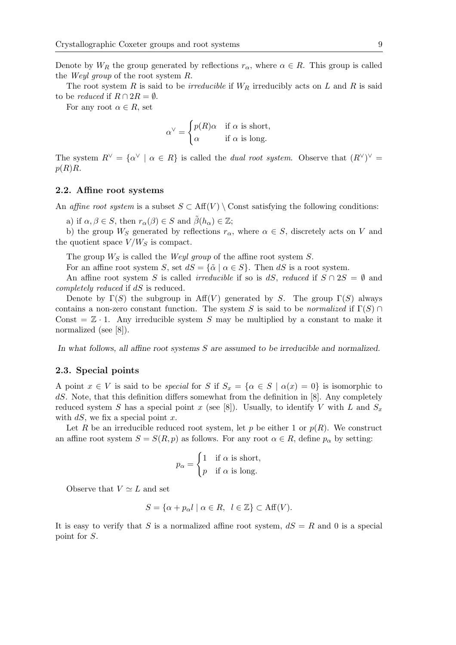Denote by  $W_R$  the group generated by reflections  $r_\alpha$ , where  $\alpha \in R$ . This group is called the *Weyl group* of the root system R.

The root system R is said to be *irreducible* if  $W_R$  irreducibly acts on L and R is said to be *reduced* if  $R \cap 2R = \emptyset$ .

For any root  $\alpha \in R$ , set

$$
\alpha^{\vee} = \begin{cases} p(R)\alpha & \text{if } \alpha \text{ is short,} \\ \alpha & \text{if } \alpha \text{ is long.} \end{cases}
$$

The system  $R^{\vee} = {\alpha^{\vee}} \mid \alpha \in R$  is called the *dual root system*. Observe that  $(R^{\vee})^{\vee} =$  $p(R)R$ .

#### **2.2. Affine root systems**

An *affine root system* is a subset  $S \subset Aff(V) \setminus Const$  satisfying the following conditions:

a) if  $\alpha, \beta \in S$ , then  $r_{\alpha}(\beta) \in S$  and  $\beta(h_{\alpha}) \in \mathbb{Z}$ ;

b) the group  $W_S$  generated by reflections  $r_\alpha$ , where  $\alpha \in S$ , discretely acts on V and the quotient space  $V/W_S$  is compact.

The group  $W_S$  is called the *Weyl group* of the affine root system  $S$ .

For an affine root system S, set  $dS = {\{\tilde{\alpha} \mid \alpha \in S\}}$ . Then dS is a root system.

An affine root system S is called *irreducible* if so is dS, *reduced* if  $S \cap 2S = \emptyset$  and *completely reduced* if dS is reduced.

Denote by  $\Gamma(S)$  the subgroup in Aff(V) generated by S. The group  $\Gamma(S)$  always contains a non-zero constant function. The system S is said to be *normalized* if  $\Gamma(S) \cap$ Const  $=\mathbb{Z} \cdot 1$ . Any irreducible system S may be multiplied by a constant to make it normalized (see [8]).

*In what follows, all affine root systems* S *are assumed to be irreducible and normalized.*

#### **2.3. Special points**

A point  $x \in V$  is said to be *special* for S if  $S_x = \{\alpha \in S \mid \alpha(x) = 0\}$  is isomorphic to dS. Note, that this definition differs somewhat from the definition in [8]. Any completely reduced system S has a special point x (see [8]). Usually, to identify V with L and  $S_x$ with  $dS$ , we fix a special point x.

Let R be an irreducible reduced root system, let p be either 1 or  $p(R)$ . We construct an affine root system  $S = S(R, p)$  as follows. For any root  $\alpha \in R$ , define  $p_{\alpha}$  by setting:

$$
p_{\alpha} = \begin{cases} 1 & \text{if } \alpha \text{ is short,} \\ p & \text{if } \alpha \text{ is long.} \end{cases}
$$

Observe that  $V \simeq L$  and set

$$
S = \{ \alpha + p_{\alpha} l \mid \alpha \in R, \ l \in \mathbb{Z} \} \subset \text{Aff}(V).
$$

It is easy to verify that S is a normalized affine root system,  $dS = R$  and 0 is a special point for S.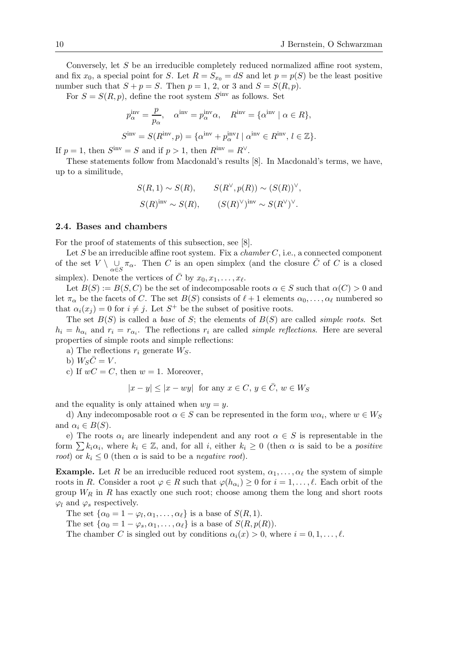Conversely, let S be an irreducible completely reduced normalized affine root system, and fix  $x_0$ , a special point for S. Let  $R = S_{x_0} = dS$  and let  $p = p(S)$  be the least positive number such that  $S + p = S$ . Then  $p = 1, 2,$  or 3 and  $S = S(R, p)$ .

For  $S = S(R, p)$ , define the root system  $S<sup>inv</sup>$  as follows. Set

$$
p_{\alpha}^{\text{inv}} = \frac{p}{p_{\alpha}}, \quad \alpha^{\text{inv}} = p_{\alpha}^{\text{inv}} \alpha, \quad R^{\text{inv}} = {\alpha^{\text{inv}}} \mid \alpha \in R,
$$
  

$$
S^{\text{inv}} = S(R^{\text{inv}}, p) = {\alpha^{\text{inv}} + p_{\alpha}^{\text{inv}} l \mid \alpha^{\text{inv}} \in R^{\text{inv}}, l \in \mathbb{Z}}.
$$

If  $p = 1$ , then  $S<sup>inv</sup> = S$  and if  $p > 1$ , then  $R<sup>inv</sup> = R<sup>\vee</sup>$ .

These statements follow from Macdonald's results [8]. In Macdonald's terms, we have, up to a similitude,

$$
S(R,1) \sim S(R), \qquad S(R^{\vee}, p(R)) \sim (S(R))^{\vee},
$$
  

$$
S(R)^{\text{inv}} \sim S(R), \qquad (S(R)^{\vee})^{\text{inv}} \sim S(R^{\vee})^{\vee}.
$$

#### **2.4. Bases and chambers**

For the proof of statements of this subsection, see [8].

Let S be an irreducible affine root system. Fix a *chamber* C, i.e., a connected component of the set  $V \setminus \bigcup_{\alpha \in S} \pi_{\alpha}$ . Then C is an open simplex (and the closure  $\overline{C}$  of C is a closed simplex). Denote the vertices of  $\overline{C}$  by  $x_0, x_1, \ldots, x_\ell$ .

Let  $B(S) := B(S, C)$  be the set of indecomposable roots  $\alpha \in S$  such that  $\alpha(C) > 0$  and let  $\pi_{\alpha}$  be the facets of C. The set  $B(S)$  consists of  $\ell + 1$  elements  $\alpha_0, \ldots, \alpha_{\ell}$  numbered so that  $\alpha_i(x_i) = 0$  for  $i \neq j$ . Let  $S^+$  be the subset of positive roots.

The set  $B(S)$  is called a *base* of S; the elements of  $B(S)$  are called *simple roots*. Set  $h_i = h_{\alpha_i}$  and  $r_i = r_{\alpha_i}$ . The reflections  $r_i$  are called *simple reflections*. Here are several properties of simple roots and simple reflections:

a) The reflections  $r_i$  generate  $W_S$ .

b)  $W_S C = V$ .

c) If  $wC = C$ , then  $w = 1$ . Moreover,

$$
|x - y| \le |x - wy| \text{ for any } x \in C, y \in \overline{C}, w \in W_S
$$

and the equality is only attained when  $wy = y$ .

d) Any indecomposable root  $\alpha \in S$  can be represented in the form  $w\alpha_i$ , where  $w \in W_S$ and  $\alpha_i \in B(S)$ .

e) The roots  $\alpha_i$  are linearly independent and any root  $\alpha \in S$  is representable in the form  $\sum k_i \alpha_i$ , where  $k_i \in \mathbb{Z}$ , and, for all i, either  $k_i \geq 0$  (then  $\alpha$  is said to be a *positive root*) or  $k_i \leq 0$  (then  $\alpha$  is said to be a *negative root*).

**Example.** Let R be an irreducible reduced root system,  $\alpha_1, \ldots, \alpha_\ell$  the system of simple roots in R. Consider a root  $\varphi \in R$  such that  $\varphi(h_{\alpha_i}) \geq 0$  for  $i = 1, \ldots, \ell$ . Each orbit of the group  $W_R$  in R has exactly one such root; choose among them the long and short roots  $\varphi_l$  and  $\varphi_s$  respectively.

The set  $\{\alpha_0 = 1 - \varphi_l, \alpha_1, \ldots, \alpha_\ell\}$  is a base of  $S(R, 1)$ .

The set  $\{\alpha_0 = 1 - \varphi_s, \alpha_1, \dots, \alpha_\ell\}$  is a base of  $S(R, p(R))$ .

The chamber C is singled out by conditions  $\alpha_i(x) > 0$ , where  $i = 0, 1, \ldots, \ell$ .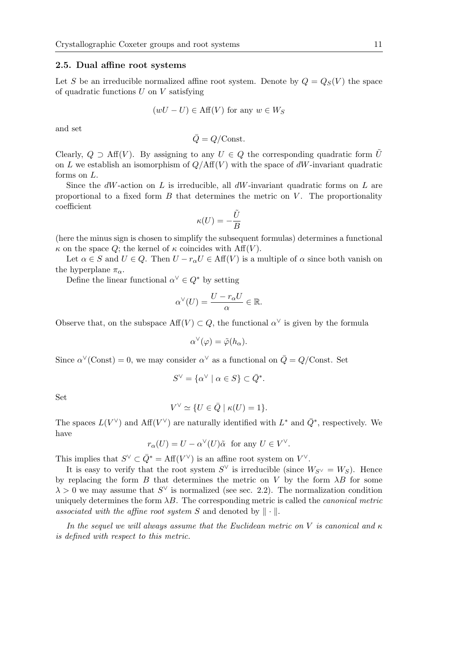#### **2.5. Dual affine root systems**

Let S be an irreducible normalized affine root system. Denote by  $Q = Q_S(V)$  the space of quadratic functions  $U$  on  $V$  satisfying

$$
(wU - U) \in \text{Aff}(V) \text{ for any } w \in W_S
$$

and set

$$
\bar{Q} = Q / \text{Const.}
$$

Clearly,  $Q \supset Aff(V)$ . By assigning to any  $U \in Q$  the corresponding quadratic form U on L we establish an isomorphism of  $Q/\text{Aff}(V)$  with the space of dW-invariant quadratic forms on L.

Since the  $dW$ -action on L is irreducible, all  $dW$ -invariant quadratic forms on L are proportional to a fixed form  $B$  that determines the metric on  $V$ . The proportionality coefficient

$$
\kappa(U) = -\frac{\tilde{U}}{B}
$$

(here the minus sign is chosen to simplify the subsequent formulas) determines a functional  $\kappa$  on the space Q; the kernel of  $\kappa$  coincides with Aff(V).

Let  $\alpha \in S$  and  $U \in Q$ . Then  $U - r_{\alpha}U \in Aff(V)$  is a multiple of  $\alpha$  since both vanish on the hyperplane  $\pi_{\alpha}$ .

Define the linear functional  $\alpha^{\vee} \in Q^*$  by setting

$$
\alpha^{\vee}(U) = \frac{U - r_{\alpha}U}{\alpha} \in \mathbb{R}.
$$

Observe that, on the subspace  $\text{Aff}(V) \subset Q$ , the functional  $\alpha^{\vee}$  is given by the formula

$$
\alpha^{\vee}(\varphi) = \tilde{\varphi}(h_{\alpha}).
$$

Since  $\alpha^{\vee}$  (Const) = 0, we may consider  $\alpha^{\vee}$  as a functional on  $\overline{Q} = Q$ /Const. Set

$$
S^{\vee} = \{ \alpha^{\vee} \mid \alpha \in S \} \subset \bar{Q}^*.
$$

Set

$$
V^{\vee} \simeq \{ U \in \bar{Q} \mid \kappa(U) = 1 \}.
$$

The spaces  $L(V^{\vee})$  and  $Aff(V^{\vee})$  are naturally identified with  $L^*$  and  $\overline{Q}^*$ , respectively. We have

$$
r_{\alpha}(U) = U - \alpha^{\vee}(U)\tilde{\alpha} \text{ for any } U \in V^{\vee}.
$$

This implies that  $S^{\vee} \subset \overline{Q}^* = \text{Aff}(V^{\vee})$  is an affine root system on  $V^{\vee}$ .

It is easy to verify that the root system  $S^{\vee}$  is irreducible (since  $W_{S^{\vee}} = W_S$ ). Hence by replacing the form  $B$  that determines the metric on  $V$  by the form  $\lambda B$  for some  $\lambda > 0$  we may assume that  $S^{\vee}$  is normalized (see sec. 2.2). The normalization condition uniquely determines the form  $\lambda B$ . The corresponding metric is called the *canonical metric* associated with the affine root system S and denoted by  $\|\cdot\|$ .

*In the sequel we will always assume that the Euclidean metric on* V *is canonical and* κ *is defined with respect to this metric.*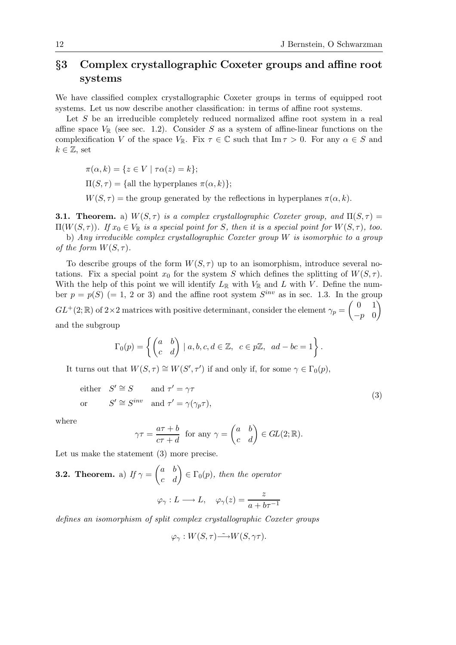## *§***3 Complex crystallographic Coxeter groups and affine root systems**

We have classified complex crystallographic Coxeter groups in terms of equipped root systems. Let us now describe another classification: in terms of affine root systems.

Let S be an irreducible completely reduced normalized affine root system in a real affine space  $V_{\mathbb{R}}$  (see sec. 1.2). Consider S as a system of affine-linear functions on the complexification V of the space  $V_{\mathbb{R}}$ . Fix  $\tau \in \mathbb{C}$  such that  $\text{Im} \tau > 0$ . For any  $\alpha \in S$  and  $k \in \mathbb{Z}$ , set

$$
\pi(\alpha, k) = \{ z \in V \mid \tau \alpha(z) = k \};
$$

 $\Pi(S, \tau) = \{\text{all the hyperplanes } \pi(\alpha, k)\};$ 

 $W(S, \tau)$  = the group generated by the reflections in hyperplanes  $\pi(\alpha, k)$ .

**3.1. Theorem.** a)  $W(S,\tau)$  *is a complex crystallographic Coxeter group, and*  $\Pi(S,\tau)$  =  $\Pi(W(S,\tau))$ *. If*  $x_0 \in V_{\mathbb{R}}$  *is a special point for* S, then *it is a special point for*  $W(S,\tau)$ *, too.* 

b) *Any irreducible complex crystallographic Coxeter group* W *is isomorphic to a group of the form*  $W(S,\tau)$ *.* 

To describe groups of the form  $W(S, \tau)$  up to an isomorphism, introduce several notations. Fix a special point  $x_0$  for the system S which defines the splitting of  $W(S, \tau)$ . With the help of this point we will identify  $L_{\mathbb{R}}$  with  $V_{\mathbb{R}}$  and L with V. Define the number  $p = p(S) (= 1, 2 \text{ or } 3)$  and the affine root system  $S^{inv}$  as in sec. 1.3. In the group  $GL^+(2;\mathbb{R})$  of  $2\times 2$  matrices with positive determinant, consider the element  $\gamma_p=\begin{pmatrix}0&1\\n&0\end{pmatrix}$  $-p$  0  $\setminus$ and the subgroup

$$
\Gamma_0(p) = \left\{ \begin{pmatrix} a & b \\ c & d \end{pmatrix} \mid a, b, c, d \in \mathbb{Z}, \ c \in p\mathbb{Z}, \ ad - bc = 1 \right\}.
$$

It turns out that  $W(S, \tau) \cong W(S', \tau')$  if and only if, for some  $\gamma \in \Gamma_0(p)$ ,

either 
$$
S' \cong S
$$
 and  $\tau' = \gamma \tau$   
or  $S' \cong S^{inv}$  and  $\tau' = \gamma(\gamma_p \tau)$ ,  $(3)$ 

where

$$
\gamma \tau = \frac{a\tau + b}{c\tau + d} \text{ for any } \gamma = \begin{pmatrix} a & b \\ c & d \end{pmatrix} \in GL(2; \mathbb{R}).
$$

Let us make the statement  $(3)$  more precise.

**3.2. Theorem.** a) If 
$$
\gamma = \begin{pmatrix} a & b \ c & d \end{pmatrix} \in \Gamma_0(p)
$$
, then the operator  

$$
\varphi_{\gamma}: L \longrightarrow L, \quad \varphi_{\gamma}(z) = \frac{z}{a + b\tau^{-1}}
$$

*defines an isomorphism of split complex crystallographic Coxeter groups*

$$
\varphi_{\gamma}: W(S, \tau) \longrightarrow W(S, \gamma \tau).
$$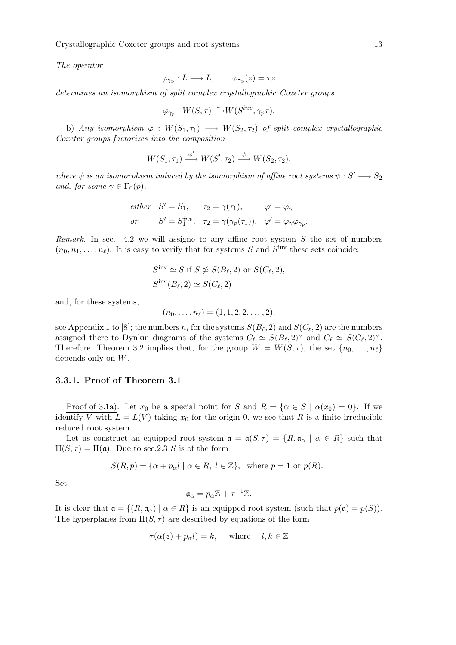*The operator*

$$
\varphi_{\gamma_p}:L\longrightarrow L,\qquad \varphi_{\gamma_p}(z)=\tau z
$$

*determines an isomorphism of split complex crystallographic Coxeter groups*

$$
\varphi_{\gamma_p}: W(S,\tau) \tilde{\longrightarrow} W(S^{inv},\gamma_p \tau).
$$

b) *Any isomorphism*  $\varphi : W(S_1, \tau_1) \longrightarrow W(S_2, \tau_2)$  *of split complex crystallographic Coxeter groups factorizes into the composition*

$$
W(S_1, \tau_1) \xrightarrow{\varphi'} W(S', \tau_2) \xrightarrow{\psi} W(S_2, \tau_2),
$$

*where*  $\psi$  *is an isomorphism induced by the isomorphism of affine root systems*  $\psi : S' \longrightarrow S_2$ *and, for some*  $\gamma \in \Gamma_0(p)$ *,* 

*either* 
$$
S' = S_1
$$
,  $\tau_2 = \gamma(\tau_1)$ ,  $\varphi' = \varphi_{\gamma}$   
\n*or*  $S' = S_1^{inv}$ ,  $\tau_2 = \gamma(\gamma_p(\tau_1))$ ,  $\varphi' = \varphi_{\gamma}\varphi_{\gamma_p}$ .

*Remark.* In sec. 4.2 we will assigne to any affine root system  $S$  the set of numbers  $(n_0, n_1, \ldots, n_\ell)$ . It is easy to verify that for systems S and S<sup>inv</sup> these sets coincide:

$$
S^{\text{inv}} \simeq S \text{ if } S \not\simeq S(B_{\ell}, 2) \text{ or } S(C_{\ell}, 2),
$$
  

$$
S^{\text{inv}}(B_{\ell}, 2) \simeq S(C_{\ell}, 2)
$$

and, for these systems,

$$
(n_0,\ldots,n_\ell)=(1,1,2,2,\ldots,2),
$$

see Appendix 1 to [8]; the numbers  $n_i$  for the systems  $S(B_\ell, 2)$  and  $S(C_\ell, 2)$  are the numbers assigned there to Dynkin diagrams of the systems  $C_{\ell} \simeq S(B_{\ell}, 2)^{\vee}$  and  $C_{\ell} \simeq S(C_{\ell}, 2)^{\vee}$ . Therefore, Theorem 3.2 implies that, for the group  $W = W(S, \tau)$ , the set  $\{n_0, \ldots, n_\ell\}$ depends only on W.

#### **3.3.1. Proof of Theorem 3.1**

Proof of 3.1a). Let  $x_0$  be a special point for S and  $R = \{ \alpha \in S \mid \alpha(x_0) = 0 \}$ . If we identify V with  $L = L(V)$  taking  $x_0$  for the origin 0, we see that R is a finite irreducible reduced root system.

Let us construct an equipped root system  $\mathfrak{a} = \mathfrak{a}(S, \tau) = \{R, \mathfrak{a}_{\alpha} \mid \alpha \in R\}$  such that  $\Pi(S, \tau) = \Pi(\mathfrak{a})$ . Due to sec. 2.3 S is of the form

$$
S(R, p) = \{ \alpha + p_{\alpha} l \mid \alpha \in R, l \in \mathbb{Z} \}, \text{ where } p = 1 \text{ or } p(R).
$$

Set

$$
\mathfrak{a}_{\alpha}=p_{\alpha}\mathbb{Z}+\tau^{-1}\mathbb{Z}.
$$

It is clear that  $\mathfrak{a} = \{(R, \mathfrak{a}_{\alpha}) \mid \alpha \in R\}$  is an equipped root system (such that  $p(\mathfrak{a}) = p(S)$ ). The hyperplanes from  $\Pi(S, \tau)$  are described by equations of the form

$$
\tau(\alpha(z) + p_{\alpha}l) = k, \quad \text{where} \quad l, k \in \mathbb{Z}
$$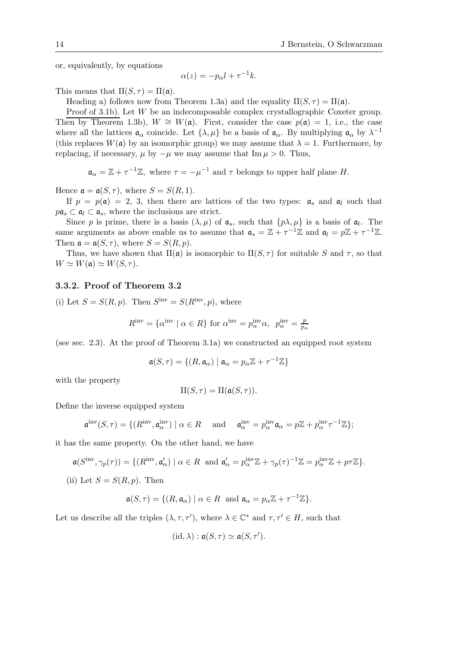or, equivalently, by equations

$$
\alpha(z) = -p_{\alpha}l + \tau^{-1}k.
$$

This means that  $\Pi(S, \tau) = \Pi(\mathfrak{a}).$ 

Heading a) follows now from Theorem 1.3a) and the equality  $\Pi(S, \tau) = \Pi(\mathfrak{a})$ .

Proof of 3.1b). Let W be an indecomposable complex crystallographic Coxeter group. Then by Theorem 1.3b),  $W \cong W(\mathfrak{a})$ . First, consider the case  $p(\mathfrak{a}) = 1$ , i.e., the case where all the lattices  $\mathfrak{a}_{\alpha}$  coincide. Let  $\{\lambda,\mu\}$  be a basis of  $\mathfrak{a}_{\alpha}$ . By multiplying  $\mathfrak{a}_{\alpha}$  by  $\lambda^{-1}$ (this replaces  $W(\mathfrak{a})$  by an isomorphic group) we may assume that  $\lambda = 1$ . Furthermore, by replacing, if necessary,  $\mu$  by  $-\mu$  we may assume that Im  $\mu > 0$ . Thus,

 $\mathfrak{a}_{\alpha} = \mathbb{Z} + \tau^{-1}\mathbb{Z}$ , where  $\tau = -\mu^{-1}$  and  $\tau$  belongs to upper half plane H.

Hence  $\mathfrak{a} = \mathfrak{a}(S, \tau)$ , where  $S = S(R, 1)$ .

If  $p = p(a) = 2, 3$ , then there are lattices of the two types:  $a_s$  and  $a_l$  such that  $p\mathfrak{a}_s \subset \mathfrak{a}_l \subset \mathfrak{a}_s$ , where the inclusions are strict.

Since p is prime, there is a basis  $(\lambda, \mu)$  of  $\mathfrak{a}_s$ , such that  $\{p\lambda, \mu\}$  is a basis of  $\mathfrak{a}_l$ . The same arguments as above enable us to assume that  $\mathfrak{a}_s = \mathbb{Z} + \tau^{-1}\mathbb{Z}$  and  $\mathfrak{a}_l = p\mathbb{Z} + \tau^{-1}\mathbb{Z}$ . Then  $\mathfrak{a} = \mathfrak{a}(S, \tau)$ , where  $S = S(R, p)$ .

Thus, we have shown that  $\Pi(\mathfrak{a})$  is isomorphic to  $\Pi(S,\tau)$  for suitable S and  $\tau$ , so that  $W \simeq W(\mathfrak{a}) \simeq W(S, \tau).$ 

#### **3.3.2. Proof of Theorem 3.2**

(i) Let  $S = S(R, p)$ . Then  $S<sup>inv</sup> = S(R<sup>inv</sup>, p)$ , where

$$
R^{\text{inv}} = \{ \alpha^{\text{inv}} \mid \alpha \in R \} \text{ for } \alpha^{\text{inv}} = p^{\text{inv}}_{\alpha} \alpha, \ \ p^{\text{inv}}_{\alpha} = \frac{p}{p_{\alpha}}
$$

(see sec. 2.3). At the proof of Theorem 3.1a) we constructed an equipped root system

$$
\mathfrak{a}(S,\tau)=\{(R,\mathfrak{a}_\alpha)\mid \mathfrak{a}_\alpha=p_\alpha\mathbb{Z}+\tau^{-1}\mathbb{Z}\}
$$

with the property

$$
\Pi(S,\tau) = \Pi(\mathfrak{a}(S,\tau)).
$$

Define the inverse equipped system

$$
\mathfrak{a}^{\text{inv}}(S,\tau) = \{ (R^{\text{inv}}, \mathfrak{a}_{\alpha}^{\text{inv}}) \mid \alpha \in R \quad \text{and} \quad \mathfrak{a}_{\alpha}^{\text{inv}} = p_{\alpha}^{\text{inv}} \mathfrak{a}_{\alpha} = p\mathbb{Z} + p_{\alpha}^{\text{inv}} \tau^{-1} \mathbb{Z} \};
$$

it has the same property. On the other hand, we have

$$
\mathfrak{a}(S^{\mathrm{inv}}, \gamma_p(\tau)) = \{ (R^{\mathrm{inv}}, \mathfrak{a}'_\alpha) \mid \alpha \in R \text{ and } \mathfrak{a}'_\alpha = p^{\mathrm{inv}}_\alpha \mathbb{Z} + \gamma_p(\tau)^{-1} \mathbb{Z} = p^{\mathrm{inv}}_\alpha \mathbb{Z} + p\tau \mathbb{Z} \}.
$$

(ii) Let  $S = S(R, p)$ . Then

$$
\mathfrak{a}(S,\tau) = \{ (R,\mathfrak{a}_{\alpha}) \mid \alpha \in R \text{ and } \mathfrak{a}_{\alpha} = p_{\alpha} \mathbb{Z} + \tau^{-1} \mathbb{Z} \}.
$$

Let us describe all the triples  $(\lambda, \tau, \tau')$ , where  $\lambda \in \mathbb{C}^*$  and  $\tau, \tau' \in H$ , such that

$$
(\mathrm{id}, \lambda) : \mathfrak{a}(S, \tau) \simeq \mathfrak{a}(S, \tau').
$$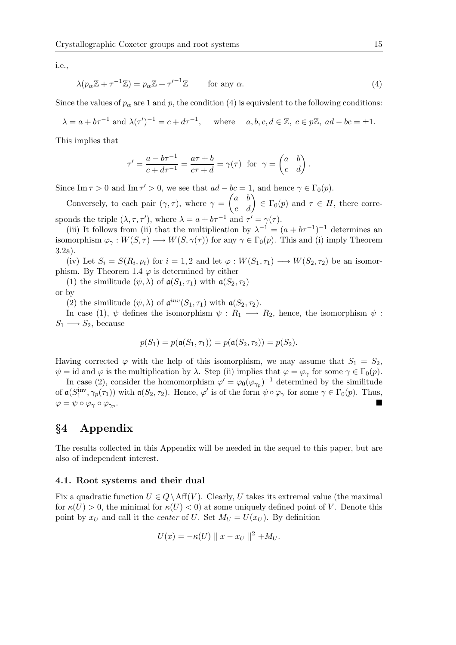i.e.,

$$
\lambda(p_{\alpha}\mathbb{Z} + \tau^{-1}\mathbb{Z}) = p_{\alpha}\mathbb{Z} + {\tau'}^{-1}\mathbb{Z} \quad \text{for any } \alpha.
$$
 (4)

Since the values of  $p_{\alpha}$  are 1 and p, the condition (4) is equivalent to the following conditions:

$$
\lambda = a + b\tau^{-1} \text{ and } \lambda(\tau')^{-1} = c + d\tau^{-1}, \quad \text{where} \quad a, b, c, d \in \mathbb{Z}, \ c \in p\mathbb{Z}, \ ad - bc = \pm 1.
$$

This implies that

$$
\tau' = \frac{a - b\tau^{-1}}{c + d\tau^{-1}} = \frac{a\tau + b}{c\tau + d} = \gamma(\tau) \text{ for } \gamma = \begin{pmatrix} a & b \\ c & d \end{pmatrix}.
$$

Since Im  $\tau > 0$  and Im  $\tau' > 0$ , we see that  $ad - bc = 1$ , and hence  $\gamma \in \Gamma_0(p)$ .

Conversely, to each pair  $(\gamma, \tau)$ , where  $\gamma = \begin{pmatrix} a & b \\ c & d \end{pmatrix} \in \Gamma_0(p)$  and  $\tau \in H$ , there corresponds the triple  $(\lambda, \tau, \tau')$ , where  $\lambda = a + b\tau^{-1}$  and  $\tau' = \gamma(\tau)$ .

(iii) It follows from (ii) that the multiplication by  $\lambda^{-1} = (a + b\tau^{-1})^{-1}$  determines an isomorphism  $\varphi_{\gamma}: W(S, \tau) \longrightarrow W(S, \gamma(\tau))$  for any  $\gamma \in \Gamma_0(p)$ . This and (i) imply Theorem 3.2a).

(iv) Let  $S_i = S(R_i, p_i)$  for  $i = 1, 2$  and let  $\varphi : W(S_1, \tau_1) \longrightarrow W(S_2, \tau_2)$  be an isomorphism. By Theorem 1.4  $\varphi$  is determined by either

(1) the similitude  $(\psi, \lambda)$  of  $\mathfrak{a}(S_1, \tau_1)$  with  $\mathfrak{a}(S_2, \tau_2)$ or by

(2) the similitude  $(\psi, \lambda)$  of  $\mathfrak{a}^{inv}(S_1, \tau_1)$  with  $\mathfrak{a}(S_2, \tau_2)$ .

In case (1),  $\psi$  defines the isomorphism  $\psi : R_1 \longrightarrow R_2$ , hence, the isomorphism  $\psi$ :  $S_1 \longrightarrow S_2$ , because

$$
p(S_1) = p(\mathfrak{a}(S_1, \tau_1)) = p(\mathfrak{a}(S_2, \tau_2)) = p(S_2).
$$

Having corrected  $\varphi$  with the help of this isomorphism, we may assume that  $S_1 = S_2$ ,  $\psi = id$  and  $\varphi$  is the multiplication by  $\lambda$ . Step (ii) implies that  $\varphi = \varphi_{\gamma}$  for some  $\gamma \in \Gamma_0(p)$ .

In case (2), consider the homomorphism  $\varphi' = \varphi_0(\varphi_{\gamma_p})^{-1}$  determined by the similitude of  $\mathfrak{a}(S_1^{\text{inv}}, \gamma_p(\tau_1))$  with  $\mathfrak{a}(S_2, \tau_2)$ . Hence,  $\varphi'$  is of the form  $\psi \circ \varphi_\gamma$  for some  $\gamma \in \Gamma_0(p)$ . Thus,  $\varphi = \psi \circ \varphi_{\gamma} \circ \varphi_{\gamma_n}.$ 

## *§***4 Appendix**

The results collected in this Appendix will be needed in the sequel to this paper, but are also of independent interest.

#### **4.1. Root systems and their dual**

Fix a quadratic function  $U \in Q \backslash \text{Aff}(V)$ . Clearly, U takes its extremal value (the maximal for  $\kappa(U) > 0$ , the minimal for  $\kappa(U) < 0$  at some uniquely defined point of V. Denote this point by  $x_U$  and call it the *center* of U. Set  $M_U = U(x_U)$ . By definition

$$
U(x) = -\kappa(U) \| x - x_U \|^2 + M_U.
$$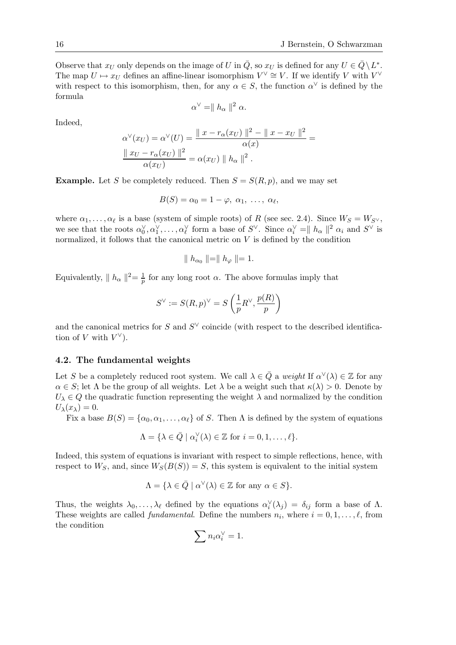Observe that  $x_U$  only depends on the image of U in  $\overline{Q}$ , so  $x_U$  is defined for any  $U \in \overline{Q} \setminus L^*$ . The map  $U \mapsto x_U$  defines an affine-linear isomorphism  $V^\vee \cong V$ . If we identify V with  $V^\vee$ with respect to this isomorphism, then, for any  $\alpha \in S$ , the function  $\alpha^{\vee}$  is defined by the formula

$$
\alpha^{\vee} = || h_{\alpha} ||^2 \alpha.
$$

Indeed,

$$
\alpha^{\vee}(x_U) = \alpha^{\vee}(U) = \frac{\|x - r_{\alpha}(x_U)\|^2 - \|x - x_U\|^2}{\alpha(x)} = \frac{\|x_U - r_{\alpha}(x_U)\|^2}{\alpha(x_U)} = \alpha(x_U) \|h_{\alpha}\|^2.
$$

**Example.** Let S be completely reduced. Then  $S = S(R, p)$ , and we may set

$$
B(S) = \alpha_0 = 1 - \varphi, \ \alpha_1, \ \ldots, \ \alpha_\ell,
$$

where  $\alpha_1,\ldots,\alpha_\ell$  is a base (system of simple roots) of R (see sec. 2.4). Since  $W_S = W_{S\vee}$ , we see that the roots  $\alpha_0^{\vee}, \alpha_1^{\vee}, \ldots, \alpha_{\ell}^{\vee}$  form a base of  $S^{\vee}$ . Since  $\alpha_i^{\vee} = ||h_{\alpha}||^2 \alpha_i$  and  $S^{\vee}$  is normalized, it follows that the canonical metric on  $V$  is defined by the condition

$$
\parallel h_{\alpha_0} \parallel = \parallel h_{\varphi} \parallel = 1.
$$

Equivalently,  $|| h_{\alpha} ||^{2} = \frac{1}{p}$  for any long root  $\alpha$ . The above formulas imply that

$$
S^{\vee}:=S(R,p)^{\vee}=S\left(\frac{1}{p}R^{\vee},\frac{p(R)}{p}\right)
$$

and the canonical metrics for S and  $S^{\vee}$  coincide (with respect to the described identification of V with  $V^{\vee}$ ).

#### **4.2. The fundamental weights**

Let S be a completely reduced root system. We call  $\lambda \in \overline{Q}$  a *weight* If  $\alpha^{\vee}(\lambda) \in \mathbb{Z}$  for any  $\alpha \in S$ ; let  $\Lambda$  be the group of all weights. Let  $\lambda$  be a weight such that  $\kappa(\lambda) > 0$ . Denote by  $U_{\lambda} \in Q$  the quadratic function representing the weight  $\lambda$  and normalized by the condition  $U_{\lambda}(x_{\lambda})=0.$ 

Fix a base  $B(S) = {\alpha_0, \alpha_1, \ldots, \alpha_\ell}$  of S. Then  $\Lambda$  is defined by the system of equations

$$
\Lambda = \{ \lambda \in \bar{Q} \mid \alpha_i^{\vee}(\lambda) \in \mathbb{Z} \text{ for } i = 0, 1, \dots, \ell \}.
$$

Indeed, this system of equations is invariant with respect to simple reflections, hence, with respect to  $W_S$ , and, since  $W_S(B(S)) = S$ , this system is equivalent to the initial system

$$
\Lambda = \{ \lambda \in \bar{Q} \mid \alpha^{\vee}(\lambda) \in \mathbb{Z} \text{ for any } \alpha \in S \}.
$$

Thus, the weights  $\lambda_0, \ldots, \lambda_\ell$  defined by the equations  $\alpha_i^{\vee}(\lambda_j) = \delta_{ij}$  form a base of  $\Lambda$ . These weights are called *fundamental*. Define the numbers  $n_i$ , where  $i = 0, 1, \ldots, \ell$ , from the condition

$$
\sum n_i \alpha_i^{\vee} = 1.
$$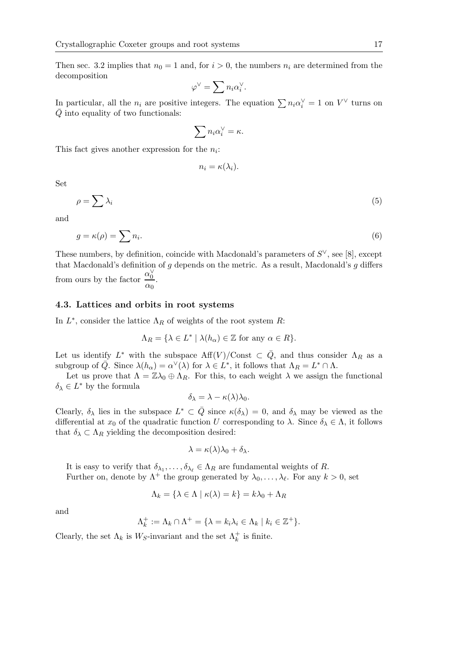Then sec. 3.2 implies that  $n_0 = 1$  and, for  $i > 0$ , the numbers  $n_i$  are determined from the decomposition

$$
\varphi^\vee=\sum n_i\alpha_i^\vee.
$$

In particular, all the  $n_i$  are positive integers. The equation  $\sum n_i \alpha_i^{\vee} = 1$  on  $V^{\vee}$  turns on  $Q$  into equality of two functionals:

$$
\sum n_i \alpha_i^{\vee} = \kappa.
$$

This fact gives another expression for the  $n<sub>i</sub>$ :

$$
n_i = \kappa(\lambda_i).
$$

Set

$$
\rho = \sum \lambda_i \tag{5}
$$

and

$$
g = \kappa(\rho) = \sum n_i. \tag{6}
$$

These numbers, by definition, coincide with Macdonald's parameters of  $S^{\vee}$ , see [8], except that Macdonald's definition of  $g$  depends on the metric. As a result, Macdonald's  $g$  differs from ours by the factor  $\frac{\alpha_0^{\vee}}{2}$  $\frac{\alpha_0}{\alpha_0}$ .

#### **4.3. Lattices and orbits in root systems**

In  $L^*$ , consider the lattice  $\Lambda_R$  of weights of the root system  $R$ :

$$
\Lambda_R = \{ \lambda \in L^* \mid \lambda(h_\alpha) \in \mathbb{Z} \text{ for any } \alpha \in R \}.
$$

Let us identify  $L^*$  with the subspace  $\text{Aff}(V)/\text{Const} \subset \overline{Q}$ , and thus consider  $\Lambda_R$  as a subgroup of  $\overline{Q}$ . Since  $\lambda(h_{\alpha}) = \alpha^{\vee}(\lambda)$  for  $\lambda \in L^*$ , it follows that  $\Lambda_R = L^* \cap \Lambda$ .

Let us prove that  $\Lambda = \mathbb{Z}\lambda_0 \oplus \Lambda_R$ . For this, to each weight  $\lambda$  we assign the functional  $\delta_{\lambda} \in L^*$  by the formula

$$
\delta_{\lambda} = \lambda - \kappa(\lambda)\lambda_0.
$$

Clearly,  $\delta_{\lambda}$  lies in the subspace  $L^* \subset \overline{Q}$  since  $\kappa(\delta_{\lambda}) = 0$ , and  $\delta_{\lambda}$  may be viewed as the differential at  $x_0$  of the quadratic function U corresponding to  $\lambda$ . Since  $\delta_{\lambda} \in \Lambda$ , it follows that  $\delta_{\lambda} \subset \Lambda_R$  yielding the decomposition desired:

$$
\lambda = \kappa(\lambda)\lambda_0 + \delta_\lambda.
$$

It is easy to verify that  $\delta_{\lambda_1}, \ldots, \delta_{\lambda_\ell} \in \Lambda_R$  are fundamental weights of R.

Further on, denote by 
$$
\Lambda^+
$$
 the group generated by  $\lambda_0, \ldots, \lambda_\ell$ . For any  $k > 0$ , set

$$
\Lambda_k = \{ \lambda \in \Lambda \mid \kappa(\lambda) = k \} = k\lambda_0 + \Lambda_R
$$

and

$$
\Lambda_k^+ := \Lambda_k \cap \Lambda^+ = \{ \lambda = k_i \lambda_i \in \Lambda_k \mid k_i \in \mathbb{Z}^+ \}.
$$

Clearly, the set  $\Lambda_k$  is  $W_S$ -invariant and the set  $\Lambda_k^+$  is finite.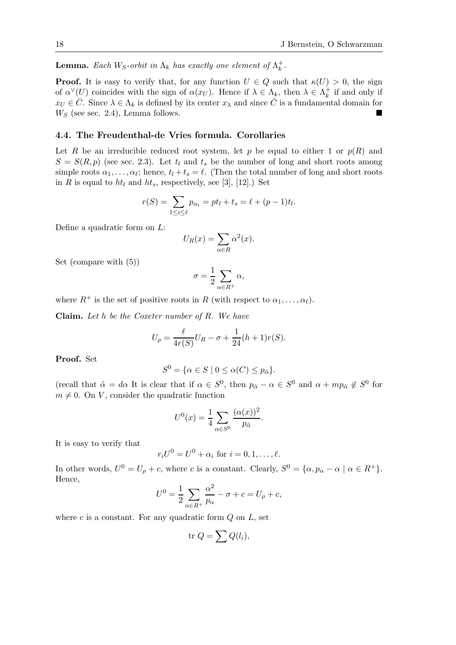**Lemma.** *Each*  $W_S$ -orbit in  $\Lambda_k$  has exactly one element of  $\Lambda_k^+$ .

**Proof.** It is easy to verify that, for any function  $U \in Q$  such that  $\kappa(U) > 0$ , the sign of  $\alpha^{\vee}(U)$  coincides with the sign of  $\alpha(x_U)$ . Hence if  $\lambda \in \Lambda_k^{\mathbb{A}}$ , then  $\lambda \in \Lambda_k^{\mathbb{A}}$  if and only if  $x_U \in \overline{C}$ . Since  $\lambda \in \Lambda_k$  is defined by its center  $x_\lambda$  and since  $\overline{C}$  is a fundamental domain for  $W<sub>S</sub>$  (see sec. 2.4), Lemma follows.

#### **4.4. The Freudenthal-de Vries formula. Corollaries**

Let R be an irreducible reduced root system, let p be equal to either 1 or  $p(R)$  and  $S = S(R, p)$  (see sec. 2.3). Let  $t_l$  and  $t_s$  be the number of long and short roots among simple roots  $\alpha_1, \ldots, \alpha_\ell$ ; hence,  $t_l + t_s = \ell$ . (Then the total number of long and short roots in R is equal to  $ht_l$  and  $ht_s$ , respectively, see [3], [12].) Set

$$
r(S) = \sum_{1 \le i \le \ell} p_{\alpha_i} = pt_l + t_s = \ell + (p-1)t_l.
$$

Define a quadratic form on L:

$$
U_R(x) = \sum_{\alpha \in R} \alpha^2(x).
$$

Set (compare with (5))

$$
\sigma = \frac{1}{2} \sum_{\alpha \in R^+} \alpha,
$$

where  $R^+$  is the set of positive roots in R (with respect to  $\alpha_1, \ldots, \alpha_\ell$ ).

**Claim.** *Let* h *be the Coxeter number of* R*. We have*

$$
U_{\rho} = \frac{\ell}{4r(S)}U_R - \sigma + \frac{1}{24}(h+1)r(S).
$$

**Proof.** Set

$$
S^{0} = \{ \alpha \in S \mid 0 \leq \alpha(C) \leq p_{\tilde{\alpha}} \}.
$$

(recall that  $\tilde{\alpha} = d\alpha$  It is clear that if  $\alpha \in S^0$ , then  $p_{\tilde{\alpha}} - \alpha \in S^0$  and  $\alpha + mp_{\tilde{\alpha}} \notin S^0$  for  $m \neq 0$ . On V, consider the quadratic function

$$
U^{0}(x) = \frac{1}{4} \sum_{\alpha \in S^{0}} \frac{(\alpha(x))^{2}}{p_{\tilde{\alpha}}}.
$$

It is easy to verify that

$$
r_i U^0 = U^0 + \alpha_i \text{ for } i = 0, 1, \dots, \ell.
$$

In other words,  $U^0 = U_\rho + c$ , where c is a constant. Clearly,  $S^0 = {\alpha, p_\alpha - \alpha \mid \alpha \in R^+}.$ Hence,

$$
U^{0} = \frac{1}{2} \sum_{\alpha \in R^{+}} \frac{\alpha^{2}}{p_{\alpha}} - \sigma + c = U_{\rho} + c,
$$

where c is a constant. For any quadratic form  $Q$  on  $L$ , set

$$
\text{tr } Q = \sum Q(l_i),
$$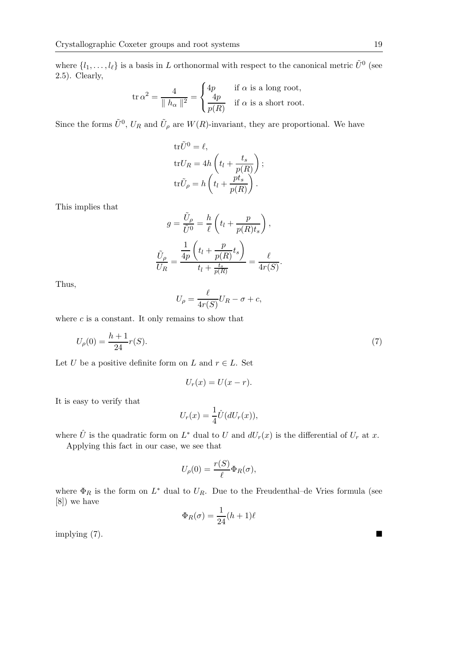where  $\{l_1,\ldots,l_\ell\}$  is a basis in L orthonormal with respect to the canonical metric  $\tilde{U}^0$  (see 2.5). Clearly,

$$
\operatorname{tr} \alpha^2 = \frac{4}{\|h_\alpha\|^2} = \begin{cases} 4p & \text{if } \alpha \text{ is a long root,} \\ \frac{4p}{p(R)} & \text{if } \alpha \text{ is a short root.} \end{cases}
$$

Since the forms  $\tilde{U}^0$ ,  $U_R$  and  $\tilde{U}_{\rho}$  are  $W(R)$ -invariant, they are proportional. We have

$$
tr\tilde{U}^{0} = \ell,
$$
  
\n
$$
trU_{R} = 4h\left(t_{l} + \frac{t_{s}}{p(R)}\right);
$$
  
\n
$$
tr\tilde{U}_{\rho} = h\left(t_{l} + \frac{pt_{s}}{p(R)}\right).
$$

This implies that

$$
g = \frac{\tilde{U}_{\rho}}{\tilde{U}^0} = \frac{h}{\ell} \left( t_l + \frac{p}{p(R)t_s} \right),
$$

$$
\frac{\tilde{U}_{\rho}}{U_R} = \frac{\frac{1}{4p} \left( t_l + \frac{p}{p(R)} t_s \right)}{t_l + \frac{t_s}{p(R)}} = \frac{\ell}{4r(S)}.
$$

Thus,

$$
U_{\rho} = \frac{\ell}{4r(S)}U_R - \sigma + c,
$$

where  $c$  is a constant. It only remains to show that

$$
U_{\rho}(0) = \frac{h+1}{24}r(S).
$$
 (7)

Let U be a positive definite form on L and  $r \in L$ . Set

$$
U_r(x) = U(x - r).
$$

It is easy to verify that

$$
U_r(x) = \frac{1}{4}\hat{U}(dU_r(x)),
$$

where  $\hat{U}$  is the quadratic form on  $L^*$  dual to U and  $dU_r(x)$  is the differential of  $U_r$  at x.

Applying this fact in our case, we see that

$$
U_{\rho}(0) = \frac{r(S)}{\ell} \Phi_R(\sigma),
$$

where  $\Phi_R$  is the form on  $L^*$  dual to  $U_R$ . Due to the Freudenthal–de Vries formula (see [8]) we have

$$
\Phi_R(\sigma) = \frac{1}{24}(h+1)\ell
$$

implying (7).